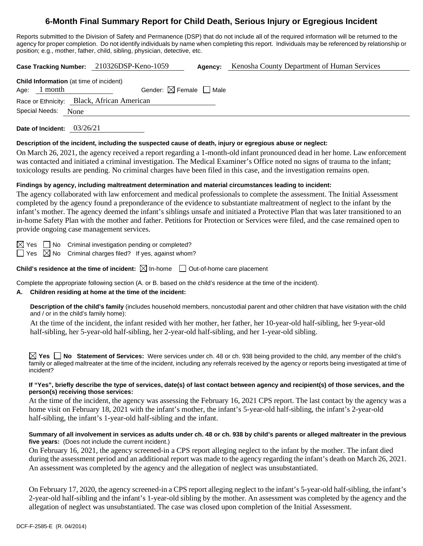# **6-Month Final Summary Report for Child Death, Serious Injury or Egregious Incident**

Reports submitted to the Division of Safety and Permanence (DSP) that do not include all of the required information will be returned to the agency for proper completion. Do not identify individuals by name when completing this report. Individuals may be referenced by relationship or position; e.g., mother, father, child, sibling, physician, detective, etc.

**Case Tracking Number:** 210326DSP-Keno-1059 **Agency:** Kenosha County Department of Human Services

| <b>Child Information</b> (at time of incident) |         |                                        |  |  |  |  |
|------------------------------------------------|---------|----------------------------------------|--|--|--|--|
| Age:                                           | 1 month | Gender: $\boxtimes$ Female $\Box$ Male |  |  |  |  |
| Race or Ethnicity: Black, African American     |         |                                        |  |  |  |  |
| Special Needs: None                            |         |                                        |  |  |  |  |

**Date of Incident:** 03/26/21

## **Description of the incident, including the suspected cause of death, injury or egregious abuse or neglect:**

On March 26, 2021, the agency received a report regarding a 1-month-old infant pronounced dead in her home. Law enforcement was contacted and initiated a criminal investigation. The Medical Examiner's Office noted no signs of trauma to the infant; toxicology results are pending. No criminal charges have been filed in this case, and the investigation remains open.

## **Findings by agency, including maltreatment determination and material circumstances leading to incident:**

The agency collaborated with law enforcement and medical professionals to complete the assessment. The Initial Assessment completed by the agency found a preponderance of the evidence to substantiate maltreatment of neglect to the infant by the infant's mother. The agency deemed the infant's siblings unsafe and initiated a Protective Plan that was later transitioned to an in-home Safety Plan with the mother and father. Petitions for Protection or Services were filed, and the case remained open to provide ongoing case management services.

 $\boxtimes$  Yes  $\Box$  No Criminal investigation pending or completed?

 $\Box$  Yes  $\boxtimes$  No Criminal charges filed? If yes, against whom?

**Child's residence at the time of incident:**  $\boxtimes$  In-home  $\Box$  Out-of-home care placement

Complete the appropriate following section (A. or B. based on the child's residence at the time of the incident).

## **A. Children residing at home at the time of the incident:**

**Description of the child's family** (includes household members, noncustodial parent and other children that have visitation with the child and / or in the child's family home):

At the time of the incident, the infant resided with her mother, her father, her 10-year-old half-sibling, her 9-year-old half-sibling, her 5-year-old half-sibling, her 2-year-old half-sibling, and her 1-year-old sibling.

**Yes No Statement of Services:** Were services under ch. 48 or ch. 938 being provided to the child, any member of the child's family or alleged maltreater at the time of the incident, including any referrals received by the agency or reports being investigated at time of incident?

## **If "Yes", briefly describe the type of services, date(s) of last contact between agency and recipient(s) of those services, and the person(s) receiving those services:**

At the time of the incident, the agency was assessing the February 16, 2021 CPS report. The last contact by the agency was a home visit on February 18, 2021 with the infant's mother, the infant's 5-year-old half-sibling, the infant's 2-year-old half-sibling, the infant's 1-year-old half-sibling and the infant.

## **Summary of all involvement in services as adults under ch. 48 or ch. 938 by child's parents or alleged maltreater in the previous five years:** (Does not include the current incident.)

On February 16, 2021, the agency screened-in a CPS report alleging neglect to the infant by the mother. The infant died during the assessment period and an additional report was made to the agency regarding the infant's death on March 26, 2021. An assessment was completed by the agency and the allegation of neglect was unsubstantiated.

On February 17, 2020, the agency screened-in a CPS report alleging neglect to the infant's 5-year-old half-sibling, the infant's 2-year-old half-sibling and the infant's 1-year-old sibling by the mother. An assessment was completed by the agency and the allegation of neglect was unsubstantiated. The case was closed upon completion of the Initial Assessment.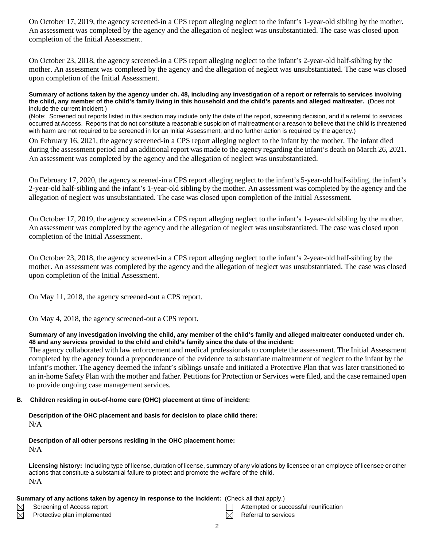On October 17, 2019, the agency screened-in a CPS report alleging neglect to the infant's 1-year-old sibling by the mother. An assessment was completed by the agency and the allegation of neglect was unsubstantiated. The case was closed upon completion of the Initial Assessment.

On October 23, 2018, the agency screened-in a CPS report alleging neglect to the infant's 2-year-old half-sibling by the mother. An assessment was completed by the agency and the allegation of neglect was unsubstantiated. The case was closed upon completion of the Initial Assessment.

#### **Summary of actions taken by the agency under ch. 48, including any investigation of a report or referrals to services involving the child, any member of the child's family living in this household and the child's parents and alleged maltreater.** (Does not include the current incident.)

(Note: Screened out reports listed in this section may include only the date of the report, screening decision, and if a referral to services occurred at Access. Reports that do not constitute a reasonable suspicion of maltreatment or a reason to believe that the child is threatened with harm are not required to be screened in for an Initial Assessment, and no further action is required by the agency.)

On February 16, 2021, the agency screened-in a CPS report alleging neglect to the infant by the mother. The infant died during the assessment period and an additional report was made to the agency regarding the infant's death on March 26, 2021. An assessment was completed by the agency and the allegation of neglect was unsubstantiated.

On February 17, 2020, the agency screened-in a CPS report alleging neglect to the infant's 5-year-old half-sibling, the infant's 2-year-old half-sibling and the infant's 1-year-old sibling by the mother. An assessment was completed by the agency and the allegation of neglect was unsubstantiated. The case was closed upon completion of the Initial Assessment.

On October 17, 2019, the agency screened-in a CPS report alleging neglect to the infant's 1-year-old sibling by the mother. An assessment was completed by the agency and the allegation of neglect was unsubstantiated. The case was closed upon completion of the Initial Assessment.

On October 23, 2018, the agency screened-in a CPS report alleging neglect to the infant's 2-year-old half-sibling by the mother. An assessment was completed by the agency and the allegation of neglect was unsubstantiated. The case was closed upon completion of the Initial Assessment.

On May 11, 2018, the agency screened-out a CPS report.

On May 4, 2018, the agency screened-out a CPS report.

## **Summary of any investigation involving the child, any member of the child's family and alleged maltreater conducted under ch. 48 and any services provided to the child and child's family since the date of the incident:**

The agency collaborated with law enforcement and medical professionals to complete the assessment. The Initial Assessment completed by the agency found a preponderance of the evidence to substantiate maltreatment of neglect to the infant by the infant's mother. The agency deemed the infant's siblings unsafe and initiated a Protective Plan that was later transitioned to an in-home Safety Plan with the mother and father. Petitions for Protection or Services were filed, and the case remained open to provide ongoing case management services.

## **B. Children residing in out-of-home care (OHC) placement at time of incident:**

## **Description of the OHC placement and basis for decision to place child there:** N/A

# **Description of all other persons residing in the OHC placement home:**

N/A

**Licensing history:** Including type of license, duration of license, summary of any violations by licensee or an employee of licensee or other actions that constitute a substantial failure to protect and promote the welfare of the child. N/A

## **Summary of any actions taken by agency in response to the incident:** (Check all that apply.)

- $\boxtimes$ 网
	- Protective plan implemented  $\boxtimes$  Referral to services
- Screening of Access report Attempted or successful reunification
	-